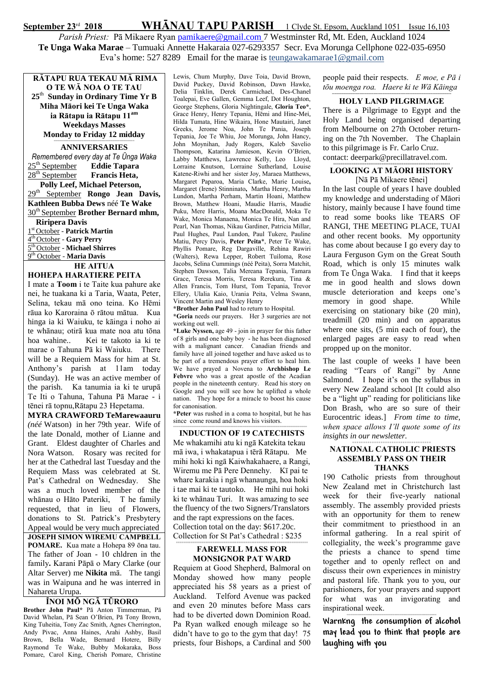## September 23<sup>rd</sup> 2018 WHĀNAU TAPU PARISH 1 Clyde St. Epsom, Auckland 1051 Issue 16,103 Parish Priest: Pā Mikaere Ryan [pamikaere@gmail.com](mailto:pamikaere@gmail.co) 7 Westminster Rd, Mt. Eden, Auckland 1024 **Te Unga Waka Marae** – Tumuaki Annette Hakaraia 027-6293357 Secr. Eva Morunga Cellphone 022-035-6950 Eva's home: 527 8289 Email for the marae is teungawakamarae1@gmail.com

**RĀTAPU RUA TEKAU MĀ RIMA O TE WĀ NOA O TE TAU 25** th **Sunday in Ordinary Time Yr B Miha Māori kei Te Unga Waka ia Rātapu ia Rātapu 11am Weekdays Masses Monday to Friday 12 midday**

## ============================================ **ANNIVERSARIES**

*Remembered every day at Te Ūnga Waka* 25th September **Eddie Tapara** 28<sup>th</sup> September **Francis Heta**,  **Polly Leef, Michael Peterson,**  29th September **Rongo Jean Davis, Kathleen Bubba Dews** néé **Te Wake** 30th September **Brother Bernard mhm, Riripera Davis**

 st October - **Patrick Martin** th October - **Gary Perry** th October - **Michael Shirres** th October - **Maria Davis**

HE AITUA

### HOHEPA HARATIERE PEITA

I mate a Toom i te Taite kua pahure ake nei, he tuakana ki a Taria, Waata, Peter, Selina, tekau mā ono teina. Ko Hēmi rāua ko Karoraina ō rātou mātua. Kua hinga ia ki Waiuku, te kāinga i noho ai te whānau; otirā kua mate noa atu tōna hoa wahine.. Kei te takoto ia ki te marae o Tahuna Pā ki Waiuku. There will be a Requiem Mass for him at St. Anthony's parish at 11am today (Sunday). He was an active member of the parish. Ka tanumia ia ki te urupā Te Iti o Tahuna, Tahuna Pā Marae - i tēnei rā topnu,Rātapu 23 Hepetama.

**MYRA CRAWFORD TeMarewaauru**  *(néé* Watson) in her 79th year. Wife of the late Donald, mother of Lianne and Grant. Eldest daughter of Charles and Nora Watson. Rosary was recited for her at the Cathedral last Tuesday and the Requiem Mass was celebrated at St. Pat's Cathedral on Wednesday. She was a much loved member of the whānau o Hāto Pateriki, T he family requested, that in lieu of Flowers, donations to St. Patrick's Presbytery Appeal would be very much appreciated JOSEPH SIMON WIREMU CAMPBELL POMARE. Kua mate a Hohepa 89 ōna tau. The father of Joan - 10 chldren in the family. Karani Pāpā o Mary Clarke (our Altar Server) me **Nikita** mā. The tangi was in Waipuna and he was interred in Nahareta Urupa.

### ÏNOI MÖ NGÄ TÜRORO

Brother John Paul\* Pā Anton Timmerman, Pā David Whelan, Pā Sean O'Brien, Pä Tony Brown, King Tuheitia, Tony Zac Smith, Agnes Cherrington, Andy Pivac, Anna Haines, Arahi Ashby, Basil Brown, Bella Wade, Bernard Hotere, Billy Raymond Te Wake, Bubby Mokaraka, Boss Pomare, Carol King, Cherish Pomare, Christine

Lewis, Chum Murphy, Dave Toia, David Brown, David Puckey, David Robinson, Dawn Hawke, Delia Tinklin, Derek Carmichael, Des-Chanel Toalepai, Eve Gallen, Gemma Leef, Dot Houghton, George Stephens, Gloria Nightingale, Gloria Teo\*, Grace Henry, Henry Tepania, Hēmi and Hine-Mei, Hilda Tumata, Hine Wikaira, Hone Mautairi, Janet Greeks, Jerome Noa, John Te Pania, Joseph Tepania, Joe Te Whiu, Joe Morunga, John Hancy, John Moynihan, Judy Rogers, Kaleb Savelio Thompson, Katarina Jamieson, Kevin O'Brien, Labby Matthews, Lawrence Kelly, Leo Lloyd, Lorraine Knutson, Lorraine Sutherland, Louise Katene-Riwhi and her sister Joy, Maraea Matthews, Margaret Paparoa, Maria Clarke, Marie Louise, Margaret (Irene) Stinninato, Martha Henry, Martha Lundon, Martha Perham, Martin Hoani, Matthew Brown, Matthew Hoani, Maudie Harris, Maudie Puku, Mere Harris, Moana MacDonald, Moka Te Wake, Monica Manaena, Monica Te Hira, Nan and Pearl, Nan Thomas, Nikau Gardiner, Patricia Millar, Paul Hughes, Paul Lundon, Paul Tukere, Pauline Matiu, Percy Davis, Peter Peita\*, Peter Te Wake, Phyllis Pomare, Reg Dargaville, Rehina Rawiri (Walters), Rewa Lepper, Robert Tuiloma, Rose Jacobs, Selina Cummings (néé Peita), Sorra Matchit, Stephen Dawson, Talia Mereana Tepania, Tamara Grace, Teresa Morris, Teresa Rerekura, Tina & Allen Francis, Tom Hurst, Tom Tepania, Trevor Ellery, Ulalia Kaio, Urania Peita, Velma Swann, Vincent Martin and Wesley Henry

\*Brother John Paul had to return to Hospital.

\*Goria needs our prayers. Her 3 surgeries are not working out well.

\*Luke Nyssen, age 49 - join in prayer for this father of 8 girls and one baby boy - he has been diagnosed with a malignant cancer. Canadian friends and family have all joined together and have asked us to be part of a tremendous prayer effort to heal him. We have prayed a Novena to Archbishop Le Febvre who was a great apostle of the Acadian people in the nineteenth century. Read his story on Google and you will see how he uplifted a whole nation. They hope for a miracle to boost his cause for canonisation.

\*Peter was rushed in a coma to hospital, but he has since come round and knows his visitors. =========================================================================

INDUCTION OF 19 CATECHISTS Me whakamihi atu ki ngā Katekita tekau mā iwa, i whakatapua i tērā Rātapu. Me mihi hoki ki ngā Kaiwhakahaere, a Rangi, Wiremu me Pā Pere Dennehy. Kī pai te whare karakia i ngā whanaunga, hoa hoki i tae mai ki te tautoko. He mihi nui hoki ki te whānau Turi. It was amazing to see the fluency of the two Signers/Translators and the rapt expressions on the faces. Collection total on the day: \$617.20c. Collection for St Pat's Cathedral : \$235

#### ======================================================================== FAREWELL MASS FOR MONSIGNOR PAT WARD

Requiem at Good Shepherd, Balmoral on Monday showed how many people appreciated his 58 years as a priest of Auckland. Telford Avenue was packed and even 20 minutes before Mass cars had to be diverted down Dominion Road. Pa Ryan walked enough mileage so he didn't have to go to the gym that day! 75 priests, four Bishops, a Cardinal and 500

people paid their respects. E moe, e P*ā i tōu moenga roa. Haere ki te Wā Kāinga* ====================================================

#### HOLY LAND PILGRIMAGE

There is a Pilgrimage to Egypt and the Holy Land being organised departing from Melbourne on 27th October returning on the 7th November. The Chaplain to this pilgrimage is Fr. Carlo Cruz. contact: deerpark@precillatravel.com.

#### **=============================================================== LOOKING AT MĀORI HISTORY** [Nā Pā Mikaere tēnei]

In the last couple of years I have doubled my knowledge and understading of Māori history, mainly because I have found time to read some books like TEARS OF RANGI, THE MEETING PLACE, TUAI and other recent books. My opportunity has come about because I go every day to Laura Ferguson Gym on the Great South Road, which is only 15 minutes walk from Te Ūnga Waka. I find that it keeps me in good health and slows down muscle deterioration and keeps one's memory in good shape. While exercising on stationary bike (20 min), treadmill (20 min) and on apparatus where one sits, (5 min each of four), the enlarged pages are easy to read when propped up on the monitor.

The last couple of weeks I have been reading "Tears of Rangi" by Anne Salmond. I hope it's on the syllabus in every New Zealand school [It could also be a "light up" reading for politicians like Don Brash, who are so sure of their Eurocentric ideas.] *From time to time, when space allows I'll quote some of its insights in our newsletter.*

#### *====================================* NATIONAL CATHOLIC PRIESTS ASSEMBLY PASS ON THEIR **THANKS**

190 Catholic priests from throughout New Zealand met in Christchurch last week for their five-yearly national assembly. The assembly provided priests with an opportunity for them to renew their commitment to priesthood in an informal gathering. In a real spirit of collegiality, the week's programme gave the priests a chance to spend time together and to openly reflect on and discuss their own experiences in ministry and pastoral life. Thank you to you, our parishioners, for your prayers and support for what was an invigorating and inspirational week.

================================================= **Warnkng the consumption of alcohol may lead you to think that people are laughing with you**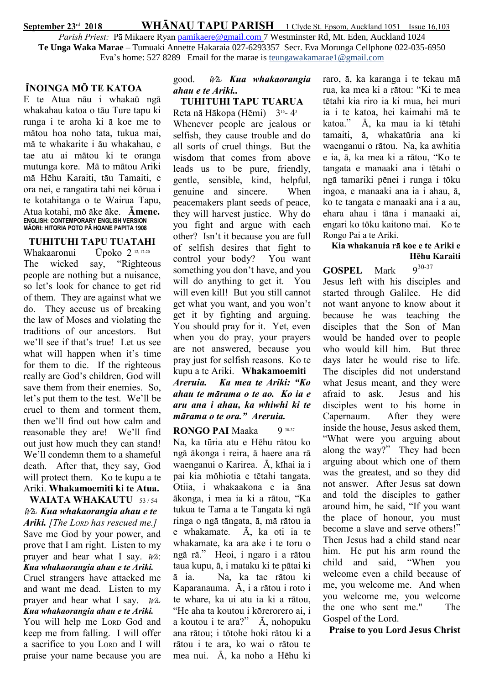September 23<sup>rd</sup> 2018 WHĀNAU TAPU PARISH 1 Clyde St. Epsom, Auckland 1051 Issue 16,103 Parish Priest: Pā Mikaere Ryan [pamikaere@gmail.com](mailto:pamikaere@gmail.co) 7 Westminster Rd, Mt. Eden, Auckland 1024 **Te Unga Waka Marae** – Tumuaki Annette Hakaraia 027-6293357 Secr. Eva Morunga Cellphone 022-035-6950 Eva's home: 527 8289 Email for the marae is teungawakamarae1@gmail.com

## ÏNOINGA MÖ TE KATOA

E te Atua näu i whakaü ngä whakahau katoa o täu Ture tapu ki runga i te aroha ki ä koe me to mätou hoa noho tata, tukua mai, mä te whakarite i äu whakahau, e tae atu ai mätou ki te oranga mutunga kore. Mä to mätou Ariki mä Hëhu Karaiti, täu Tamaiti, e ora nei, e rangatira tahi nei körua i te kotahitanga o te Wairua Tapu, Atua kotahi, mö äke äke. Ämene. **ENGLISH: CONTEMPORARY ENGLISH VERSION MĀORI: HITORIA POTO PĀ HOANE PAPITA 1908**

TUHITUHI TAPU TUATAHI Whakaaronui Ūpoko 2 12, 17-20 The wicked say, "Righteous people are nothing but a nuisance, so let's look for chance to get rid of them. They are against what we do. They accuse us of breaking the law of Moses and violating the traditions of our ancestors. But we'll see if that's true! Let us see what will happen when it's time for them to die. If the righteous really are God's children, God will save them from their enemies. So, let's put them to the test. We'll be cruel to them and torment them, then we'll find out how calm and reasonable they are! We'll find out just how much they can stand! We'll condemn them to a shameful death. After that, they say, God will protect them. Ko te kupu a te Ariki. Whakamoemiti ki te Atua. WAIATA WHAKAUTU 53/54

Wh: Kua whakaorangia ahau e te Ariki. [The LORD has rescued me.] Save me God by your power, and prove that I am right. Listen to my prayer and hear what I say.  $W\hat{a}$ : Kua whakaorangia ahau e te Ariki. Cruel strangers have attacked me

and want me dead. Listen to my prayer and hear what I say.  $W_{A}$ . Kua whakaorangia ahau e te Ariki.

You will help me LORD God and keep me from falling. I will offer a sacrifice to you LORD and I will praise your name because you are

## good. Wh: Kua whakaorangia ahau e te Ariki..

TUHITUHI TAPU TUARUA Reta nā Hākopa (Hēmi) 3<sup>16</sup>-4<sup>3</sup> Whenever people are jealous or

selfish, they cause trouble and do all sorts of cruel things. But the wisdom that comes from above leads us to be pure, friendly, gentle, sensible, kind, helpful, genuine and sincere. When peacemakers plant seeds of peace, they will harvest justice. Why do you fight and argue with each other? Isn't it because you are full of selfish desires that fight to control your body? You want something you don't have, and you will do anything to get it. You will even kill! But you still cannot get what you want, and you won't get it by fighting and arguing. You should pray for it. Yet, even when you do pray, your prayers are not answered, because you pray just for selfish reasons. Ko te kupu a te Ariki. Whakamoemiti Areruia. Ka mea te Ariki: "Ko ahau te märama o te ao. Ko ia e aru ana i ahau, ka whiwhi ki te märama o te ora." Areruia.

RONGO PAI Maaka 9 30-37 Na, ka tūria atu e Hëhu rätou ko ngä äkonga i reira, ä haere ana rä waenganui o Karirea. Ä, kïhai ia i pai kia möhiotia e tëtahi tangata. Otiia, i whakaakona e ia äna äkonga, i mea ia ki a rätou, "Ka tukua te Tama a te Tangata ki ngä ringa o ngä tängata, ä, mä rätou ia e whakamate. Ä, ka oti ia te whakamate, ka ara ake i te toru o ngä rä." Heoi, i ngaro i a rätou taua kupu, ä, i mataku ki te pätai ki ä ia. Na, ka tae rätou ki Kaparanauma. Ä, i a rätou i roto i te whare, ka ui atu ia ki a rätou, "He aha ta koutou i körerorero ai, i a koutou i te ara?" Ä, nohopuku ana rätou; i tötohe hoki rätou ki a rätou i te ara, ko wai o rätou te mea nui. Ä, ka noho a Hëhu ki

raro, ä, ka karanga i te tekau mä rua, ka mea ki a rätou: "Ki te mea tëtahi kia riro ia ki mua, hei muri ia i te katoa, hei kaimahi mä te katoa." Ä, ka mau ia ki tëtahi tamaiti, ä, whakatüria ana ki waenganui o rätou. Na, ka awhitia e ia, ä, ka mea ki a rätou, "Ko te tangata e manaaki ana i tëtahi o ngä tamariki pënei i runga i töku ingoa, e manaaki ana ia i ahau, ä, ko te tangata e manaaki ana i a au, ehara ahau i täna i manaaki ai, engari ko töku kaitono mai. Ko te Rongo Pai a te Ariki.

## Kia whakanuia rä koe e te Ariki e Hëhu Karaiti

# **GOSPEL** Mark  $9^{30-37}$

Jesus left with his disciples and started through Galilee. He did not want anyone to know about it because he was teaching the disciples that the Son of Man would be handed over to people who would kill him. But three days later he would rise to life. The disciples did not understand what Jesus meant, and they were afraid to ask. Jesus and his disciples went to his home in Capernaum. After they were inside the house, Jesus asked them, "What were you arguing about along the way?" They had been arguing about which one of them was the greatest, and so they did not answer. After Jesus sat down and told the disciples to gather around him, he said, "If you want the place of honour, you must become a slave and serve others!" Then Jesus had a child stand near him. He put his arm round the child and said, "When you welcome even a child because of me, you welcome me. And when you welcome me, you welcome the one who sent me." The Gospel of the Lord.

Praise to you Lord Jesus Christ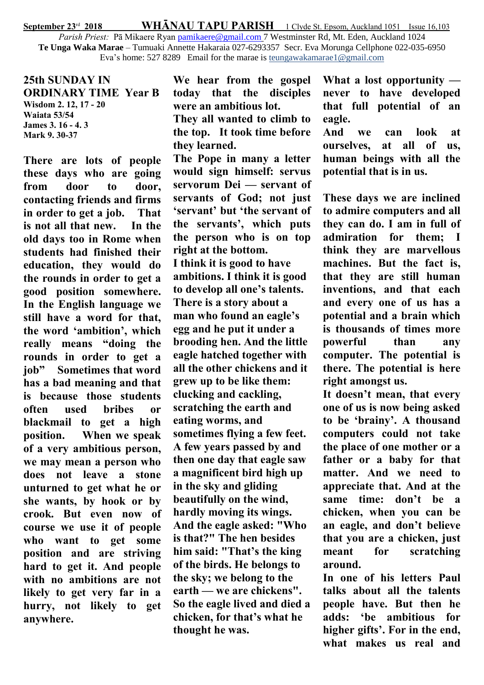September 23<sup>rd</sup> 2018 WHĀNAU TAPU PARISH 1 Clyde St. Epsom, Auckland 1051 Issue 16,103

Parish Priest: Pā Mikaere Ryan [pamikaere@gmail.com](mailto:pamikaere@gmail.co) 7 Westminster Rd, Mt. Eden, Auckland 1024 **Te Unga Waka Marae** – Tumuaki Annette Hakaraia 027-6293357 Secr. Eva Morunga Cellphone 022-035-6950 Eva's home: 527 8289 Email for the marae is teungawakamarae1@gmail.com

25th SUNDAY IN ORDINARY TIME Year B Wisdom 2. 12, 17 - 20 Waiata 53/54 James 3. 16 - 4. 3 Mark 9. 30-37

There are lots of people these days who are going from door to door, contacting friends and firms in order to get a job. That is not all that new. In the old days too in Rome when students had finished their education, they would do the rounds in order to get a good position somewhere. In the English language we still have a word for that, the word 'ambition', which really means "doing the rounds in order to get a job" Sometimes that word has a bad meaning and that is because those students often used bribes or blackmail to get a high position. When we speak of a very ambitious person, we may mean a person who does not leave a stone unturned to get what he or she wants, by hook or by crook. But even now of course we use it of people who want to get some position and are striving hard to get it. And people with no ambitions are not likely to get very far in a hurry, not likely to get anywhere.

We hear from the gospel today that the disciples were an ambitious lot. They all wanted to climb to the top. It took time before they learned.

The Pope in many a letter would sign himself: servus servorum Dei — servant of servants of God; not just 'servant' but 'the servant of the servants', which puts the person who is on top right at the bottom. I think it is good to have ambitions. I think it is good to develop all one's talents. There is a story about a man who found an eagle's egg and he put it under a brooding hen. And the little eagle hatched together with all the other chickens and it grew up to be like them: clucking and cackling, scratching the earth and eating worms, and sometimes flying a few feet. A few years passed by and then one day that eagle saw a magnificent bird high up in the sky and gliding beautifully on the wind, hardly moving its wings. And the eagle asked: "Who is that?" The hen besides him said: "That's the king of the birds. He belongs to the sky; we belong to the earth — we are chickens". So the eagle lived and died a chicken, for that's what he thought he was.

What a lost opportunity never to have developed that full potential of an eagle.

And we can look at ourselves, at all of us, human beings with all the potential that is in us.

These days we are inclined to admire computers and all they can do. I am in full of admiration for them; I think they are marvellous machines. But the fact is, that they are still human inventions, and that each and every one of us has a potential and a brain which is thousands of times more powerful than any computer. The potential is there. The potential is here right amongst us.

It doesn't mean, that every one of us is now being asked to be 'brainy'. A thousand computers could not take the place of one mother or a father or a baby for that matter. And we need to appreciate that. And at the same time: don't be a chicken, when you can be an eagle, and don't believe that you are a chicken, just meant for scratching around.

In one of his letters Paul talks about all the talents people have. But then he adds: 'be ambitious for higher gifts'. For in the end, what makes us real and